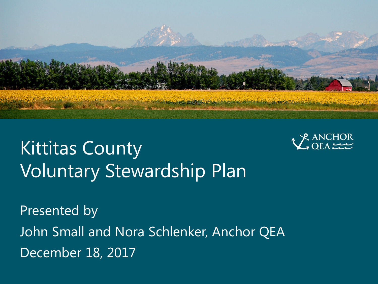

# Kittitas County Voluntary Stewardship Plan



Presented by John Small and Nora Schlenker, Anchor QEA December 18, 2017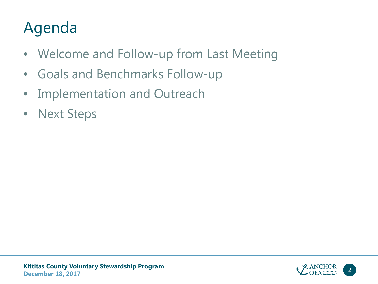### Agenda

- Welcome and Follow-up from Last Meeting
- Goals and Benchmarks Follow-up
- Implementation and Outreach
- Next Steps

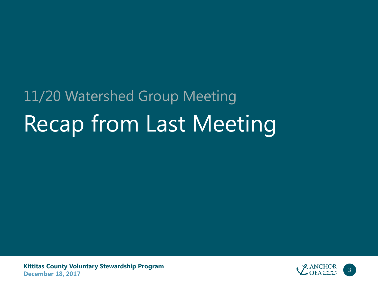# Recap from Last Meeting 11/20 Watershed Group Meeting

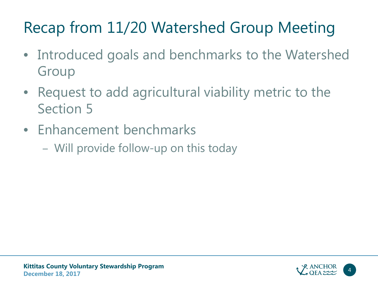## Recap from 11/20 Watershed Group Meeting

- Introduced goals and benchmarks to the Watershed Group
- Request to add agricultural viability metric to the Section 5
- Enhancement benchmarks
	- Will provide follow-up on this today

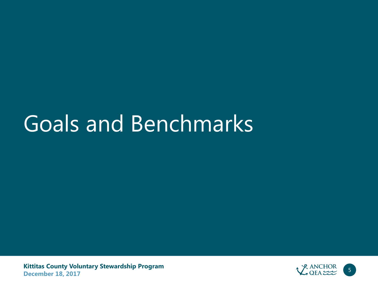# Goals and Benchmarks

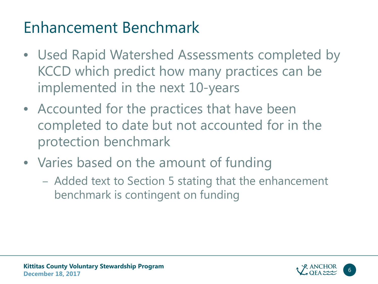### Enhancement Benchmark

- Used Rapid Watershed Assessments completed by KCCD which predict how many practices can be implemented in the next 10-years
- Accounted for the practices that have been completed to date but not accounted for in the protection benchmark
- Varies based on the amount of funding
	- Added text to Section 5 stating that the enhancement benchmark is contingent on funding

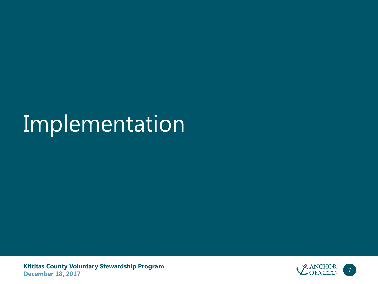# Implementation

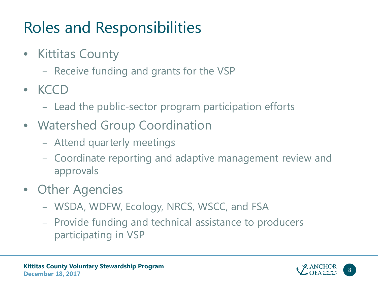## Roles and Responsibilities

- Kittitas County
	- Receive funding and grants for the VSP
- KCCD
	- Lead the public-sector program participation efforts
- Watershed Group Coordination
	- Attend quarterly meetings
	- Coordinate reporting and adaptive management review and approvals
- Other Agencies
	- WSDA, WDFW, Ecology, NRCS, WSCC, and FSA
	- Provide funding and technical assistance to producers participating in VSP

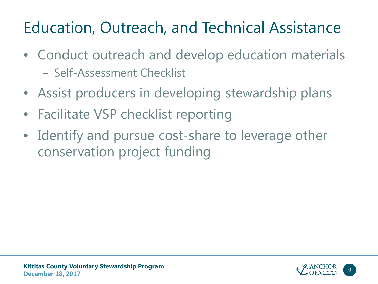## Education, Outreach, and Technical Assistance

- Conduct outreach and develop education materials – Self-Assessment Checklist
- Assist producers in developing stewardship plans
- Facilitate VSP checklist reporting
- Identify and pursue cost-share to leverage other conservation project funding

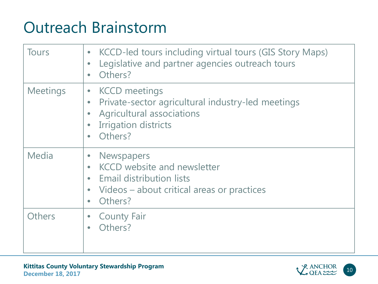#### Outreach Brainstorm

| <b>Tours</b>    | KCCD-led tours including virtual tours (GIS Story Maps)<br>$\bullet$<br>Legislative and partner agencies outreach tours<br>$\bullet$<br>Others?<br>$\bullet$                  |
|-----------------|-------------------------------------------------------------------------------------------------------------------------------------------------------------------------------|
| <b>Meetings</b> | <b>KCCD</b> meetings<br>$\bullet$<br>Private-sector agricultural industry-led meetings<br>$\bullet$<br>Agricultural associations<br><b>Irrigation districts</b><br>Others?    |
| Media           | <b>Newspapers</b><br><b>KCCD</b> website and newsletter<br>$\bullet$<br><b>Email distribution lists</b><br>Videos – about critical areas or practices<br>$\bullet$<br>Others? |
| <b>Others</b>   | <b>County Fair</b><br>$\bullet$<br>Others?                                                                                                                                    |

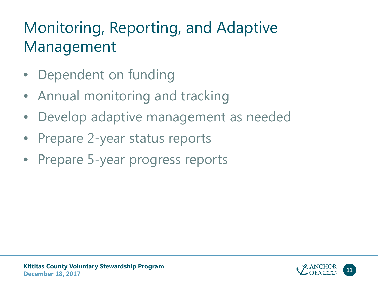## Monitoring, Reporting, and Adaptive Management

- Dependent on funding
- Annual monitoring and tracking
- Develop adaptive management as needed
- Prepare 2-year status reports
- Prepare 5-year progress reports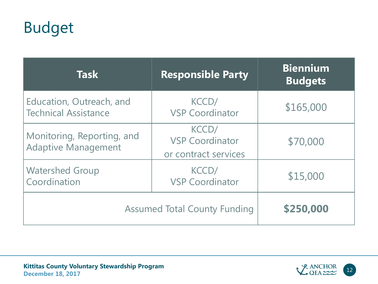#### Budget

| <b>Task</b>                                              | <b>Responsible Party</b>                                | <b>Biennium</b><br><b>Budgets</b> |
|----------------------------------------------------------|---------------------------------------------------------|-----------------------------------|
| Education, Outreach, and<br><b>Technical Assistance</b>  | KCCD/<br><b>VSP Coordinator</b>                         | \$165,000                         |
| Monitoring, Reporting, and<br><b>Adaptive Management</b> | KCCD/<br><b>VSP Coordinator</b><br>or contract services | \$70,000                          |
| <b>Watershed Group</b><br>Coordination                   | KCCD/<br><b>VSP Coordinator</b>                         | \$15,000                          |
| <b>Assumed Total County Funding</b>                      | \$250,000                                               |                                   |

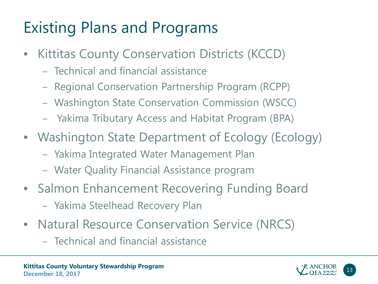## Existing Plans and Programs

- Kittitas County Conservation Districts (KCCD)
	- Technical and financial assistance
	- Regional Conservation Partnership Program (RCPP)
	- Washington State Conservation Commission (WSCC)
	- Yakima Tributary Access and Habitat Program (BPA)
- Washington State Department of Ecology (Ecology)
	- Yakima Integrated Water Management Plan
	- Water Quality Financial Assistance program
- Salmon Enhancement Recovering Funding Board
	- Yakima Steelhead Recovery Plan
- Natural Resource Conservation Service (NRCS)
	- Technical and financial assistance

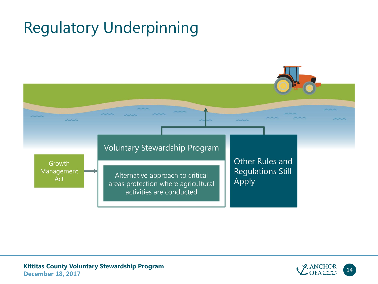## Regulatory Underpinning



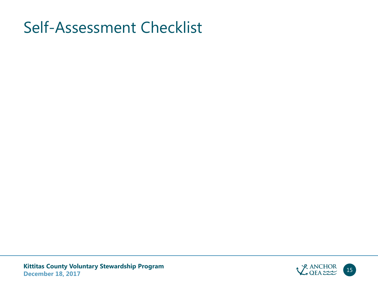#### Self-Assessment Checklist

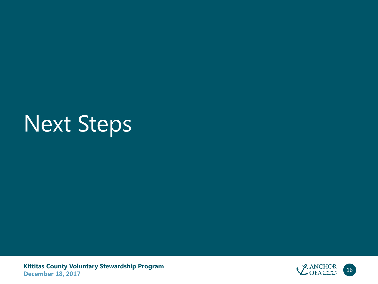# Next Steps